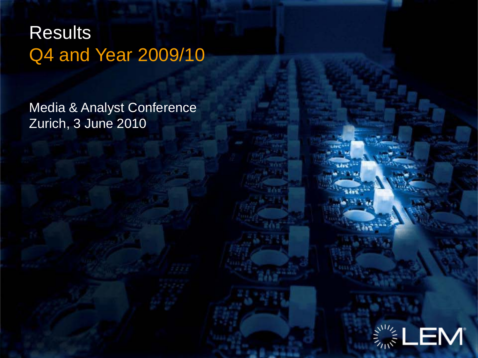### **Results** Q4 and Year 2009/10

Media & Analyst Conference Zurich, 3 June 2010

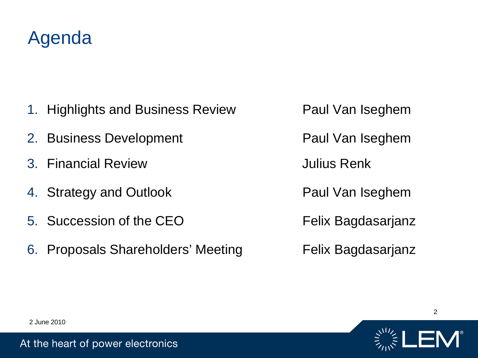

- 1. Highlights and Business Review **Paul Van Iseghem**
- 2. Business Development **Paul Van Iseghem**
- 3. Financial Review Julius Renk
- 4. Strategy and Outlook Paul Van Iseghem
- 5. Succession of the CEO Felix Bagdasarjanz
- 6. Proposals Shareholders' Meeting Felix Bagdasarjanz



2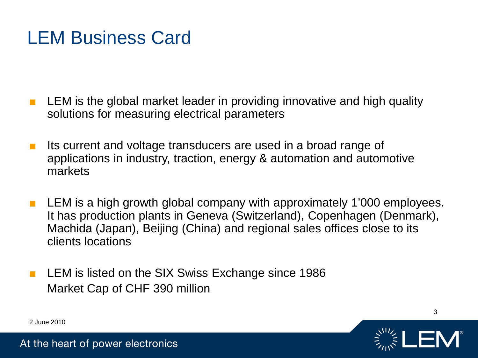### LEM Business Card

- LEM is the global market leader in providing innovative and high quality solutions for measuring electrical parameters
- Its current and voltage transducers are used in a broad range of applications in industry, traction, energy & automation and automotive markets
- LEM is a high growth global company with approximately 1'000 employees. It has production plants in Geneva (Switzerland), Copenhagen (Denmark), Machida (Japan), Beijing (China) and regional sales offices close to its clients locations
- LEM is listed on the SIX Swiss Exchange since 1986 Market Cap of CHF 390 million



3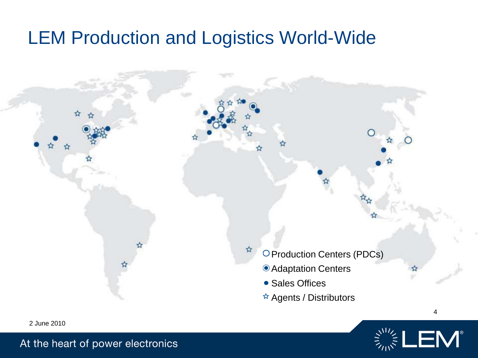#### LEM Production and Logistics World-Wide



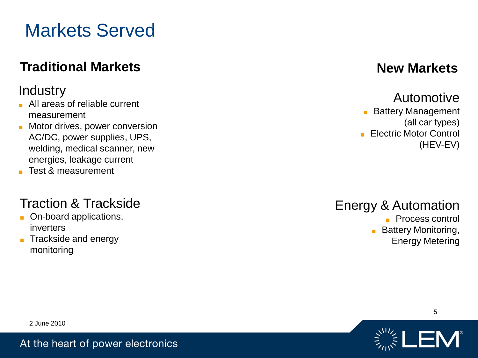### Markets Served

#### **Traditional Markets New Markets New Markets**

#### **Industry**

- All areas of reliable current measurement
- Motor drives, power conversion AC/DC, power supplies, UPS, welding, medical scanner, new energies, leakage current
- Test & measurement

#### Traction & Trackside

- On-board applications, inverters
- Trackside and energy monitoring

#### Automotive

**Battery Management** (all car types) **Electric Motor Control** 

(HEV-EV)

#### Energy & Automation

- Process control
- Battery Monitoring,

Energy Metering

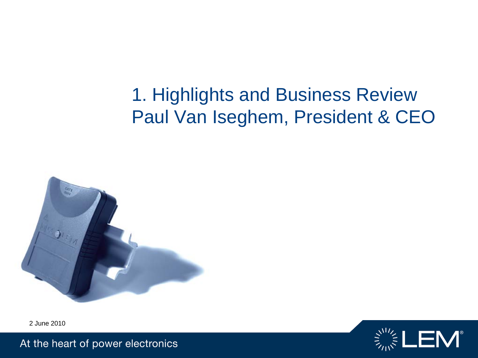### 1. Highlights and Business Review Paul Van Iseghem, President & CEO



2 June 2010

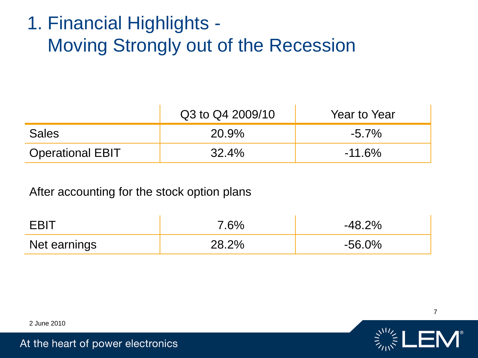# 1. Financial Highlights - Moving Strongly out of the Recession

|                         | Q3 to Q4 2009/10 | Year to Year |
|-------------------------|------------------|--------------|
| <b>Sales</b>            | 20.9%            | -5.7%        |
| <b>Operational EBIT</b> | 32.4%            | $-11.6\%$    |

After accounting for the stock option plans

| - E D L 1    | $7.6\%$ | $-48.2%$  |
|--------------|---------|-----------|
| Net earnings | 28.2%   | $-56.0\%$ |

7

2 June 2010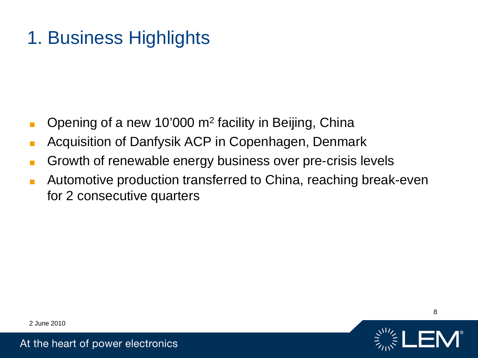### 1. Business Highlights

- **Opening of a new 10'000 m<sup>2</sup> facility in Beijing, China**
- Acquisition of Danfysik ACP in Copenhagen, Denmark
- Growth of renewable energy business over pre-crisis levels
- Automotive production transferred to China, reaching break-even for 2 consecutive quarters

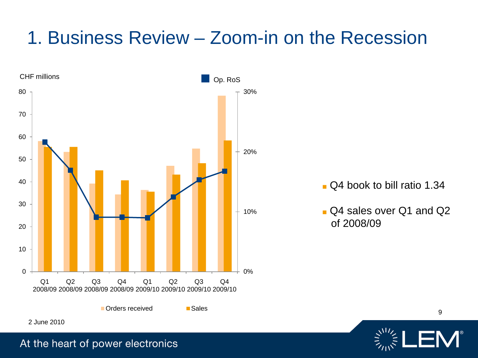#### 1. Business Review – Zoom-in on the Recession





2 June 2010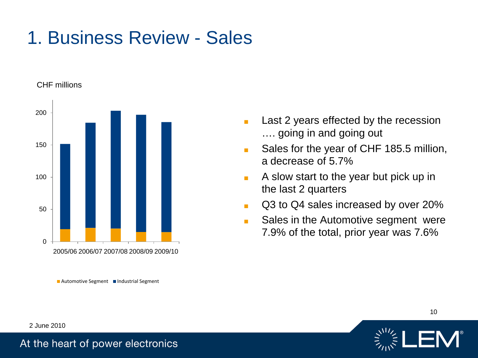#### 1. Business Review - Sales



 $\blacksquare$  Automotive Segment  $\blacksquare$  Industrial Segment

- Last 2 years effected by the recession …. going in and going out
- Sales for the year of CHF 185.5 million, a decrease of 5.7%
- A slow start to the year but pick up in the last 2 quarters
- Q3 to Q4 sales increased by over 20%
- Sales in the Automotive segment were 7.9% of the total, prior year was 7.6%

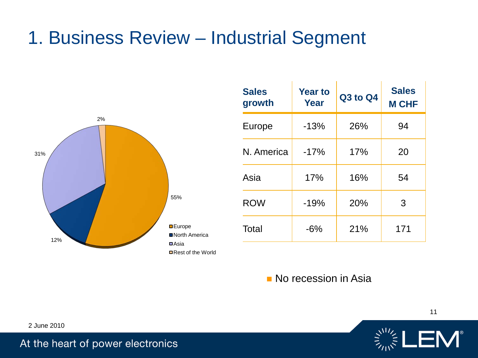#### 1. Business Review – Industrial Segment



| <b>Sales</b><br>growth | <b>Year to</b><br>Year | Q3 to Q4 | <b>Sales</b><br><b>M CHF</b> |
|------------------------|------------------------|----------|------------------------------|
| Europe                 | $-13%$                 | 26%      | 94                           |
| N. America             | $-17%$                 | 17%      | 20                           |
| Asia                   | 17%                    | 16%      | 54                           |
| <b>ROW</b>             | $-19%$                 | 20%      | 3                            |
| Total                  | $-6%$                  | 21%      | 171                          |

No recession in Asia



2 June 2010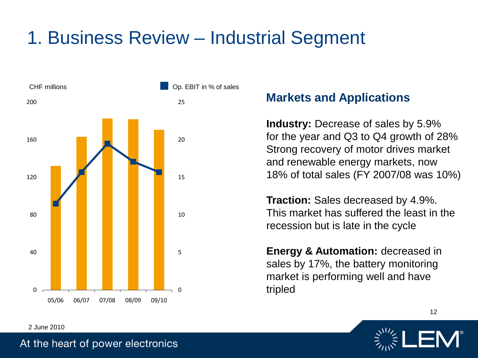#### 1. Business Review – Industrial Segment



#### **Markets and Applications**

**Industry:** Decrease of sales by 5.9% for the year and Q3 to Q4 growth of 28% Strong recovery of motor drives market and renewable energy markets, now 18% of total sales (FY 2007/08 was 10%)

**Traction:** Sales decreased by 4.9%. This market has suffered the least in the recession but is late in the cycle

**Energy & Automation:** decreased in sales by 17%, the battery monitoring market is performing well and have



12

#### 2 June 2010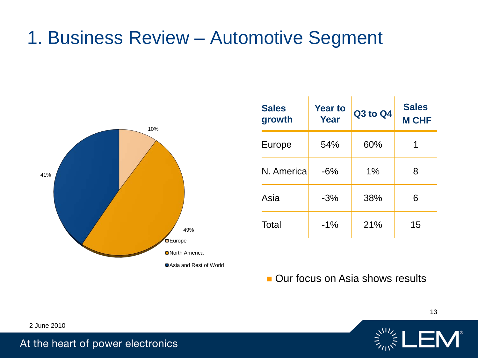#### 1. Business Review – Automotive Segment



| <b>Sales</b><br>growth | <b>Year to</b><br>Year | Q3 to Q4 | <b>Sales</b><br><b>M CHF</b> |
|------------------------|------------------------|----------|------------------------------|
| Europe                 | 54%                    | 60%      |                              |
| N. America             | $-6%$                  | 1%       | 8                            |
| Asia                   | $-3%$                  | 38%      | 6                            |
| Total                  | $-1\%$                 | 21%      | 15                           |

Our focus on Asia shows results



2 June 2010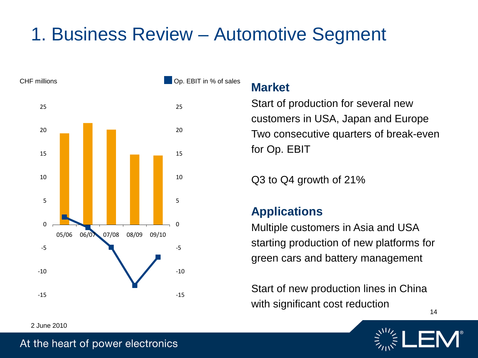### 1. Business Review – Automotive Segment



#### **Market**

Start of production for several new customers in USA, Japan and Europe Two consecutive quarters of break-even for Op. EBIT

Q3 to Q4 growth of 21%

#### **Applications**

Multiple customers in Asia and USA starting production of new platforms for green cars and battery management

14 Start of new production lines in China with significant cost reduction



At the heart of power electronics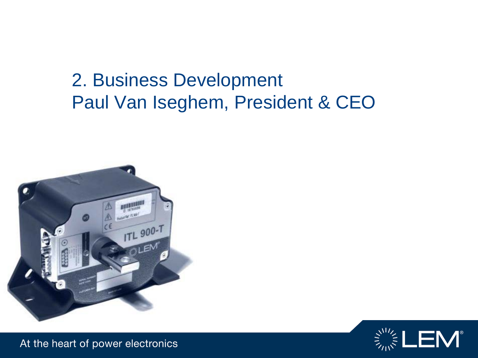#### 2. Business Development Paul Van Iseghem, President & CEO



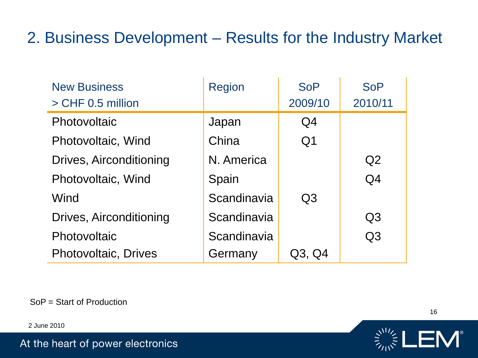#### 2. Business Development – Results for the Industry Market

| <b>New Business</b>         | <b>Region</b> | <b>SoP</b>     | <b>SoP</b>     |
|-----------------------------|---------------|----------------|----------------|
| > CHF 0.5 million           |               | 2009/10        | 2010/11        |
| Photovoltaic                | Japan         | Q <sub>4</sub> |                |
| Photovoltaic, Wind          | China         | Q <sub>1</sub> |                |
| Drives, Airconditioning     | N. America    |                | Q <sub>2</sub> |
| Photovoltaic, Wind          | Spain         |                | Q <sub>4</sub> |
| Wind                        | Scandinavia   | Q <sub>3</sub> |                |
| Drives, Airconditioning     | Scandinavia   |                | Q3             |
| Photovoltaic                | Scandinavia   |                | Q <sub>3</sub> |
| <b>Photovoltaic, Drives</b> | Germany       | Q3, Q4         |                |

SoP = Start of Production

2 June 2010

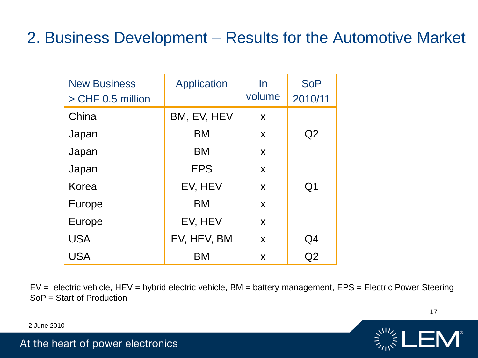#### 2. Business Development – Results for the Automotive Market

| <b>New Business</b><br>> CHF 0.5 million | <b>Application</b> | $\ln$<br>volume | <b>SoP</b><br>2010/11 |
|------------------------------------------|--------------------|-----------------|-----------------------|
| China                                    | BM, EV, HEV        | X               |                       |
| Japan                                    | <b>BM</b>          | X               | Q2                    |
| Japan                                    | <b>BM</b>          | X               |                       |
| Japan                                    | <b>EPS</b>         | X               |                       |
| Korea                                    | EV, HEV            | X               | Q <sub>1</sub>        |
| <b>Europe</b>                            | <b>BM</b>          | X               |                       |
| <b>Europe</b>                            | EV, HEV            | X               |                       |
| <b>USA</b>                               | EV, HEV, BM        | X               | Q4                    |
| <b>USA</b>                               | <b>BM</b>          | X               | Q2                    |

EV = electric vehicle, HEV = hybrid electric vehicle, BM = battery management, EPS = Electric Power Steering SoP = Start of Production



17

2 June 2010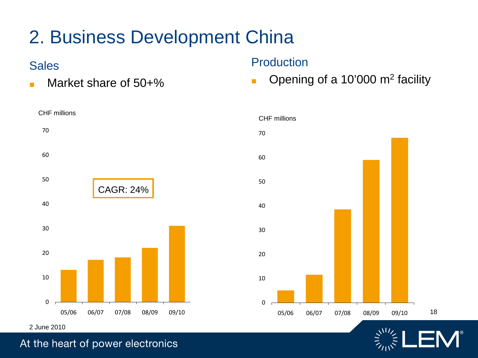# 2. Business Development China

#### Sales

■ Market share of 50+%



#### 2 June 2010

#### Production

■ Opening of a 10'000 m<sup>2</sup> facility



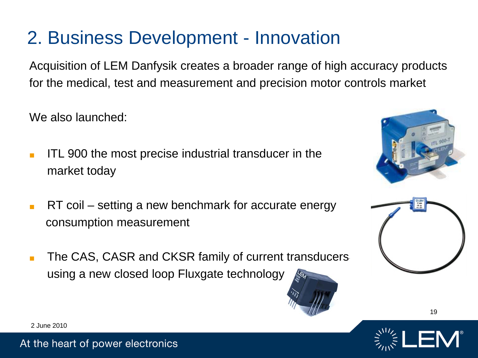### 2. Business Development - Innovation

Acquisition of LEM Danfysik creates a broader range of high accuracy products for the medical, test and measurement and precision motor controls market

We also launched:

- **F** ITL 900 the most precise industrial transducer in the market today
- RT coil setting a new benchmark for accurate energy consumption measurement
- The CAS, CASR and CKSR family of current transducers using a new closed loop Fluxgate technology







19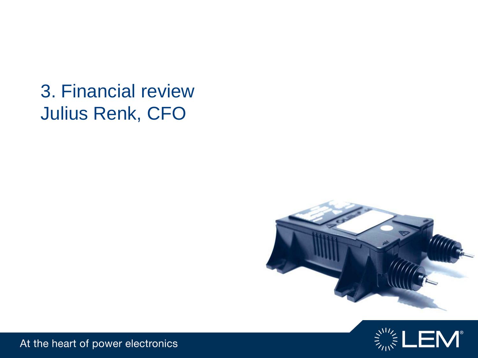### 3. Financial review Julius Renk, CFO



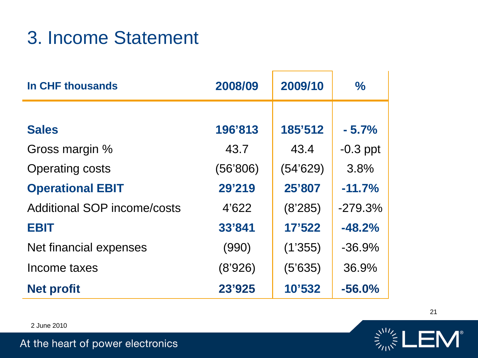#### 3. Income Statement

| In CHF thousands                   | 2008/09  | 2009/10  | $\frac{9}{6}$ |
|------------------------------------|----------|----------|---------------|
|                                    |          |          |               |
| <b>Sales</b>                       | 196'813  | 185'512  | $-5.7%$       |
| Gross margin %                     | 43.7     | 43.4     | $-0.3$ ppt    |
| <b>Operating costs</b>             | (56'806) | (54'629) | 3.8%          |
| <b>Operational EBIT</b>            | 29'219   | 25'807   | $-11.7%$      |
| <b>Additional SOP income/costs</b> | 4'622    | (8'285)  | $-279.3%$     |
| <b>EBIT</b>                        | 33'841   | 17'522   | $-48.2%$      |
| Net financial expenses             | (990)    | (1'355)  | $-36.9%$      |
| Income taxes                       | (8'926)  | (5'635)  | 36.9%         |
| <b>Net profit</b>                  | 23'925   | 10'532   | $-56.0%$      |



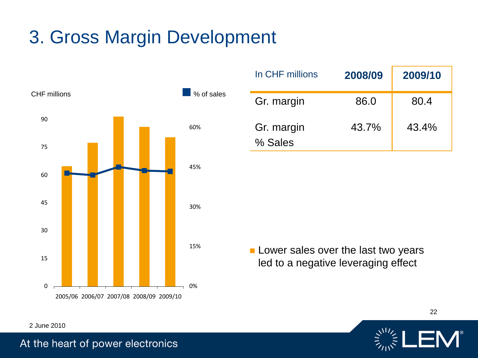#### 3. Gross Margin Development



| In CHF millions       | 2008/09 | 2009/10 |
|-----------------------|---------|---------|
| Gr. margin            | 86.0    | 80.4    |
| Gr. margin<br>% Sales | 43.7%   | 43.4%   |

**Lower sales over the last two years** led to a negative leveraging effect

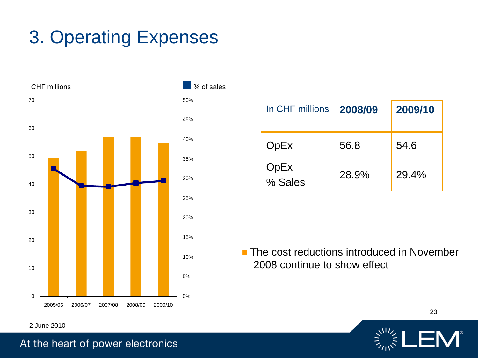# 3. Operating Expenses



| In CHF millions 2008/09 |       | 2009/10 |
|-------------------------|-------|---------|
| OpEx                    | 56.8  | 54.6    |
| OpEx<br>% Sales         | 28.9% | 29.4%   |

**The cost reductions introduced in November** 2008 continue to show effect



23

At the heart of power electronics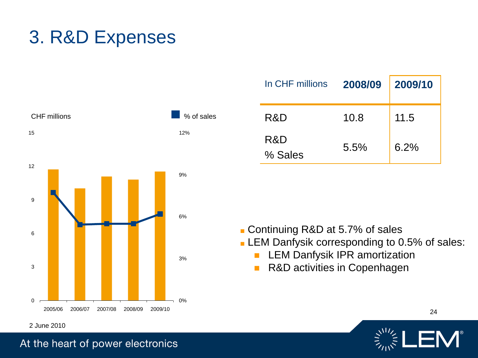#### 3. R&D Expenses



| In CHF millions | 2008/09 | 2009/10 |
|-----------------|---------|---------|
| R&D             | 10.8    | 11.5    |
| R&D<br>% Sales  | 5.5%    | 6.2%    |

- Continuing R&D at 5.7% of sales
- **LEM Danfysik corresponding to 0.5% of sales:** 
	- **LEM Danfysik IPR amortization**
	- R&D activities in Copenhagen

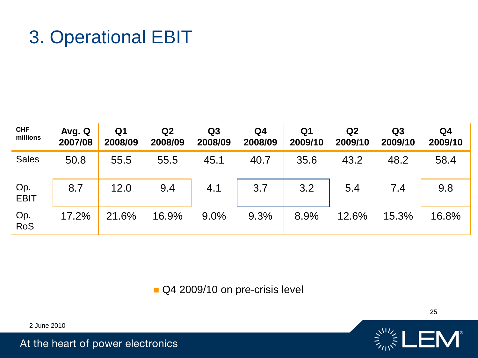#### 3. Operational EBIT

| <b>CHF</b><br>millions | Avg. Q<br>2007/08 | Q1<br>2008/09 | Q2<br>2008/09 | Q3<br>2008/09 | Q4<br>2008/09 | Q <sub>1</sub><br>2009/10 | Q <sub>2</sub><br>2009/10 | Q3<br>2009/10 | Q4<br>2009/10 |
|------------------------|-------------------|---------------|---------------|---------------|---------------|---------------------------|---------------------------|---------------|---------------|
| <b>Sales</b>           | 50.8              | 55.5          | 55.5          | 45.1          | 40.7          | 35.6                      | 43.2                      | 48.2          | 58.4          |
| Op.<br><b>EBIT</b>     | 8.7               | 12.0          | 9.4           | 4.1           | 3.7           | 3.2                       | 5.4                       | 7.4           | 9.8           |
| Op.<br><b>RoS</b>      | 17.2%             | 21.6%         | 16.9%         | 9.0%          | 9.3%          | 8.9%                      | 12.6%                     | 15.3%         | 16.8%         |

Q4 2009/10 on pre-crisis level

2 June 2010

At the heart of power electronics

 $\frac{3}{2}$   $\frac{3}{2}$  $\boldsymbol{\lambda}$ 

25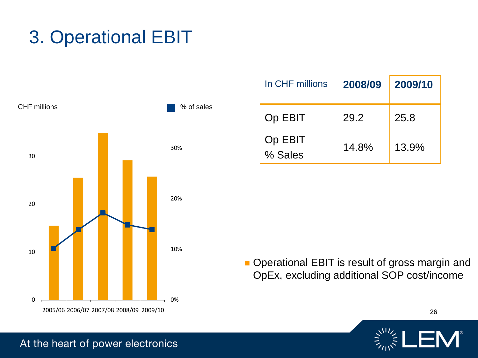### 3. Operational EBIT



| In CHF millions    | 2008/09 | 2009/10 |
|--------------------|---------|---------|
| Op EBIT            | 29.2    | 25.8    |
| Op EBIT<br>% Sales | 14.8%   | 13.9%   |

**Operational EBIT is result of gross margin and** OpEx, excluding additional SOP cost/income



26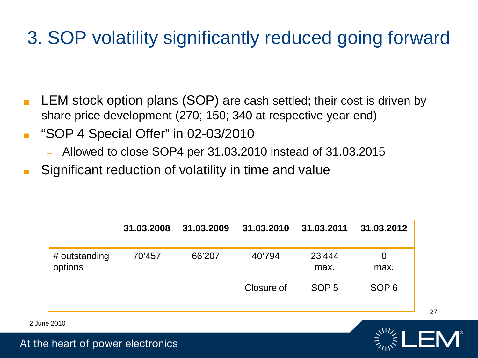### 3. SOP volatility significantly reduced going forward

- LEM stock option plans (SOP) are cash settled; their cost is driven by share price development (270; 150; 340 at respective year end)
- "SOP 4 Special Offer" in 02-03/2010
	- Allowed to close SOP4 per 31.03.2010 instead of 31.03.2015
- Significant reduction of volatility in time and value

|                          | 31.03.2008 | 31.03.2009 | 31.03.2010 | 31.03.2011       | 31.03.2012       |
|--------------------------|------------|------------|------------|------------------|------------------|
| # outstanding<br>options | 70'457     | 66'207     | 40'794     | 23'444<br>max.   | 0<br>max.        |
|                          |            |            | Closure of | SOP <sub>5</sub> | SOP <sub>6</sub> |

27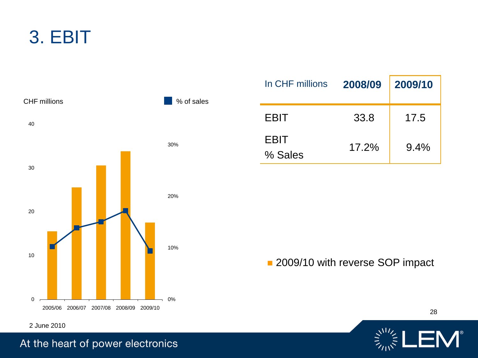3. EBIT



2 June 2010

#### At the heart of power electronics

| In CHF millions        | 2008/09 | 2009/10 |
|------------------------|---------|---------|
| <b>EBIT</b>            | 33.8    | 17.5    |
| <b>EBIT</b><br>% Sales | 17.2%   | $9.4\%$ |

2009/10 with reverse SOP impact



28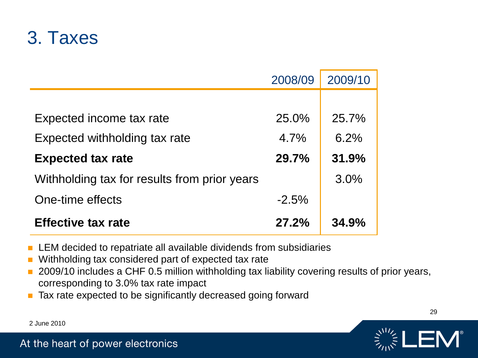#### 3. Taxes

|                                              | 2008/09 | 2009/10 |
|----------------------------------------------|---------|---------|
|                                              |         |         |
| Expected income tax rate                     | 25.0%   | 25.7%   |
| Expected withholding tax rate                | 4.7%    | 6.2%    |
| <b>Expected tax rate</b>                     | 29.7%   | 31.9%   |
| Withholding tax for results from prior years |         | 3.0%    |
| One-time effects                             | $-2.5%$ |         |
| <b>Effective tax rate</b>                    | 27.2%   | 34.9%   |

- LEM decided to repatriate all available dividends from subsidiaries
- Withholding tax considered part of expected tax rate
- 2009/10 includes a CHF 0.5 million withholding tax liability covering results of prior years, corresponding to 3.0% tax rate impact
- Tax rate expected to be significantly decreased going forward

29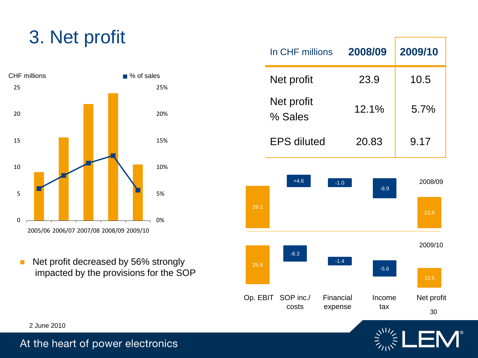### 3. Net profit



Net profit decreased by 56% strongly impacted by the provisions for the SOP

| In CHF millions       | 2008/09 | 2009/10 |
|-----------------------|---------|---------|
| Net profit            | 23.9    | 10.5    |
| Net profit<br>% Sales | 12.1%   | 5.7%    |
| <b>EPS diluted</b>    | 20.83   | 9.17    |



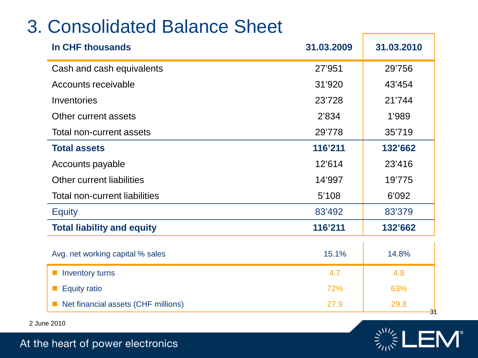#### 3. Consolidated Balance Sheet

| In CHF thousands                     | 31.03.2009 | 31.03.2010  |
|--------------------------------------|------------|-------------|
| Cash and cash equivalents            | 27'951     | 29'756      |
| Accounts receivable                  | 31'920     | 43'454      |
| Inventories                          | 23'728     | 21'744      |
| Other current assets                 | 2'834      | 1'989       |
| Total non-current assets             | 29'778     | 35'719      |
| <b>Total assets</b>                  | 116'211    | 132'662     |
| Accounts payable                     | 12'614     | 23'416      |
| Other current liabilities            | 14'997     | 19'775      |
| <b>Total non-current liabilities</b> | 5'108      | 6'092       |
| <b>Equity</b>                        | 83'492     | 83'379      |
| <b>Total liability and equity</b>    | 116'211    | 132'662     |
| Avg. net working capital % sales     | 15.1%      | 14.8%       |
| Inventory turns                      | 4.7        | 4.8         |
| <b>Equity ratio</b>                  | 72%        | 63%         |
| Net financial assets (CHF millions)  | 27.9       | 29.8<br>-31 |

2 June 2010

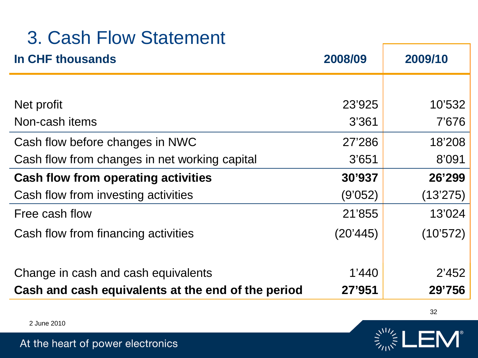### 3. Cash Flow Statement

| In CHF thousands                                   | 2008/09  | 2009/10  |
|----------------------------------------------------|----------|----------|
|                                                    |          |          |
| Net profit                                         | 23'925   | 10'532   |
| Non-cash items                                     | 3'361    | 7'676    |
| Cash flow before changes in NWC                    | 27'286   | 18'208   |
| Cash flow from changes in net working capital      | 3'651    | 8'091    |
| <b>Cash flow from operating activities</b>         | 30'937   | 26'299   |
| Cash flow from investing activities                | (9'052)  | (13'275) |
| Free cash flow                                     | 21'855   | 13'024   |
| Cash flow from financing activities                | (20'445) | (10'572) |
|                                                    |          |          |
| Change in cash and cash equivalents                | 1'440    | 2'452    |
| Cash and cash equivalents at the end of the period | 27'951   | 29'756   |

2 June 2010



32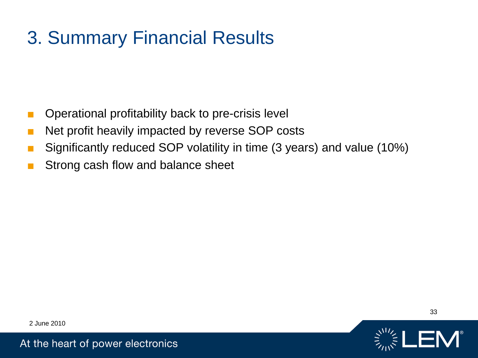### 3. Summary Financial Results

- Operational profitability back to pre-crisis level
- Net profit heavily impacted by reverse SOP costs
- Significantly reduced SOP volatility in time (3 years) and value (10%)
- Strong cash flow and balance sheet

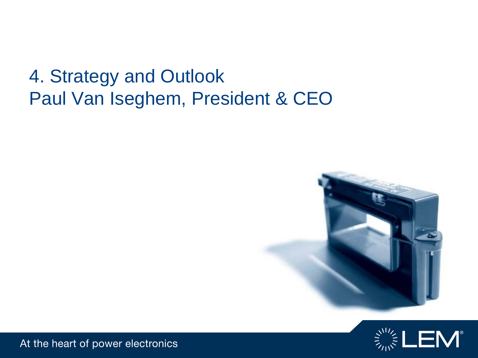#### 4. Strategy and Outlook Paul Van Iseghem, President & CEO



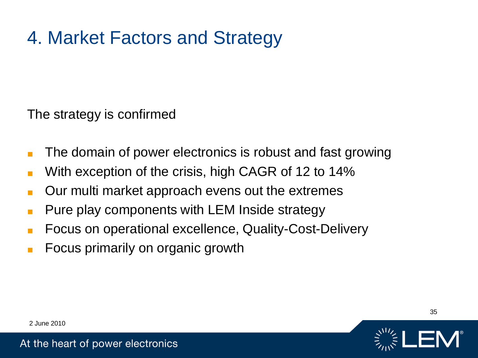# 4. Market Factors and Strategy

The strategy is confirmed

- The domain of power electronics is robust and fast growing
- With exception of the crisis, high CAGR of 12 to 14%
- Our multi market approach evens out the extremes
- Pure play components with LEM Inside strategy
- Focus on operational excellence, Quality-Cost-Delivery
- Focus primarily on organic growth

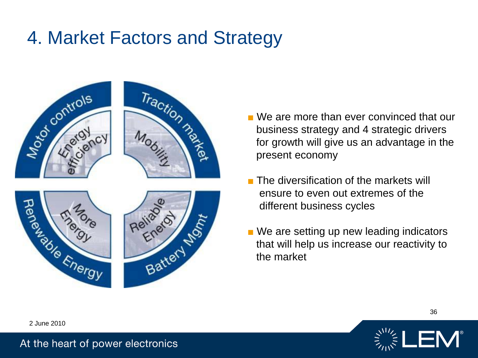### 4. Market Factors and Strategy



- We are more than ever convinced that our business strategy and 4 strategic drivers for growth will give us an advantage in the present economy
- The diversification of the markets will ensure to even out extremes of the different business cycles
- We are setting up new leading indicators that will help us increase our reactivity to the market



36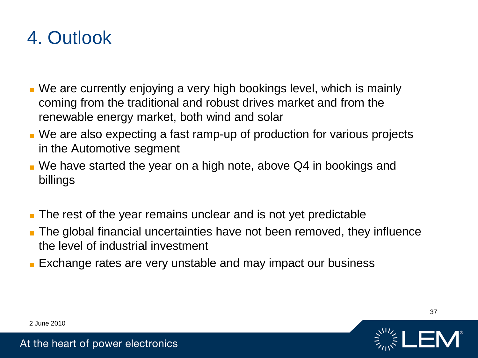#### 4. Outlook

- We are currently enjoying a very high bookings level, which is mainly coming from the traditional and robust drives market and from the renewable energy market, both wind and solar
- We are also expecting a fast ramp-up of production for various projects in the Automotive segment
- We have started the year on a high note, above Q4 in bookings and billings
- The rest of the year remains unclear and is not yet predictable
- The global financial uncertainties have not been removed, they influence the level of industrial investment
- Exchange rates are very unstable and may impact our business



37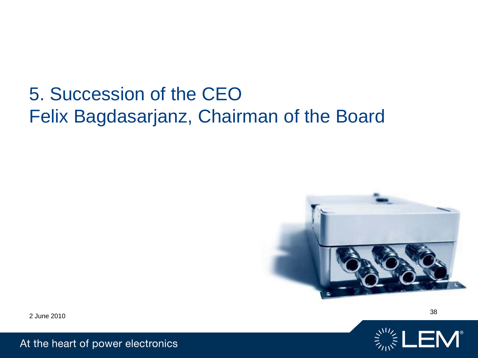# 5. Succession of the CEO Felix Bagdasarjanz, Chairman of the Board





2 June 2010 <sup>38</sup>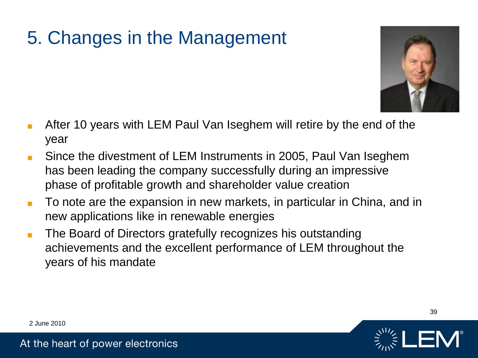### 5. Changes in the Management



- After 10 years with LEM Paul Van Iseghem will retire by the end of the year
- Since the divestment of LEM Instruments in 2005, Paul Van Iseghem has been leading the company successfully during an impressive phase of profitable growth and shareholder value creation
- To note are the expansion in new markets, in particular in China, and in new applications like in renewable energies
- The Board of Directors gratefully recognizes his outstanding achievements and the excellent performance of LEM throughout the years of his mandate



39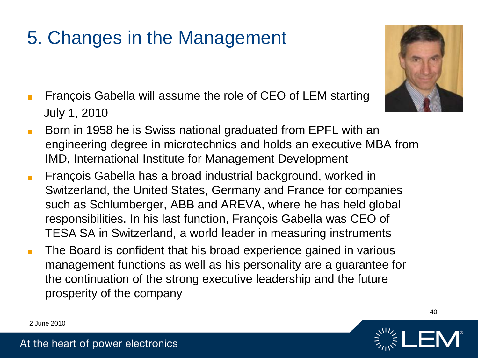# 5. Changes in the Management

- François Gabella will assume the role of CEO of LEM starting July 1, 2010
- Born in 1958 he is Swiss national graduated from EPFL with an engineering degree in microtechnics and holds an executive MBA from IMD, International Institute for Management Development
- François Gabella has a broad industrial background, worked in Switzerland, the United States, Germany and France for companies such as Schlumberger, ABB and AREVA, where he has held global responsibilities. In his last function, François Gabella was CEO of TESA SA in Switzerland, a world leader in measuring instruments
- The Board is confident that his broad experience gained in various management functions as well as his personality are a guarantee for the continuation of the strong executive leadership and the future prosperity of the company



40

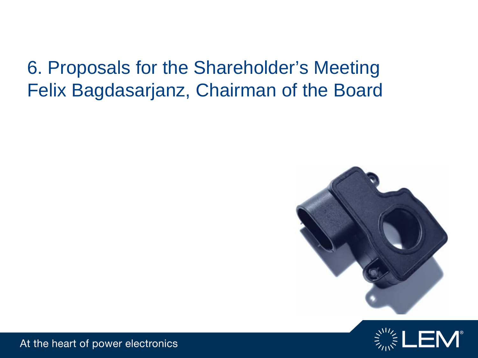### 6. Proposals for the Shareholder's Meeting Felix Bagdasarjanz, Chairman of the Board



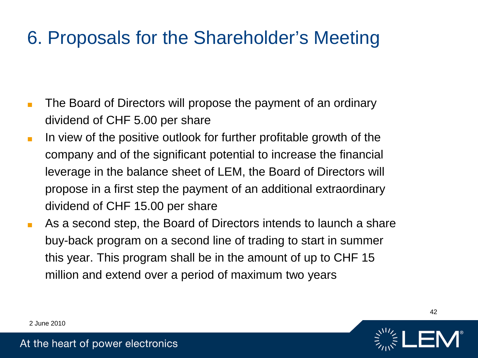### 6. Proposals for the Shareholder's Meeting

- The Board of Directors will propose the payment of an ordinary dividend of CHF 5.00 per share
- In view of the positive outlook for further profitable growth of the company and of the significant potential to increase the financial leverage in the balance sheet of LEM, the Board of Directors will propose in a first step the payment of an additional extraordinary dividend of CHF 15.00 per share
- As a second step, the Board of Directors intends to launch a share buy-back program on a second line of trading to start in summer this year. This program shall be in the amount of up to CHF 15 million and extend over a period of maximum two years



42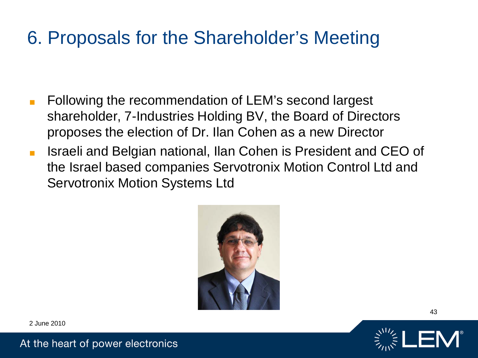### 6. Proposals for the Shareholder's Meeting

- Following the recommendation of LEM's second largest shareholder, 7-Industries Holding BV, the Board of Directors proposes the election of Dr. Ilan Cohen as a new Director
- Israeli and Belgian national, Ilan Cohen is President and CEO of the Israel based companies Servotronix Motion Control Ltd and Servotronix Motion Systems Ltd



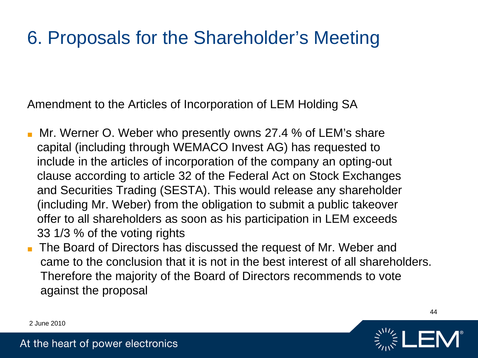### 6. Proposals for the Shareholder's Meeting

Amendment to the Articles of Incorporation of LEM Holding SA

- Mr. Werner O. Weber who presently owns 27.4 % of LEM's share capital (including through WEMACO Invest AG) has requested to include in the articles of incorporation of the company an opting-out clause according to article 32 of the Federal Act on Stock Exchanges and Securities Trading (SESTA). This would release any shareholder (including Mr. Weber) from the obligation to submit a public takeover offer to all shareholders as soon as his participation in LEM exceeds 33 1/3 % of the voting rights
- The Board of Directors has discussed the request of Mr. Weber and came to the conclusion that it is not in the best interest of all shareholders. Therefore the majority of the Board of Directors recommends to vote against the proposal



44